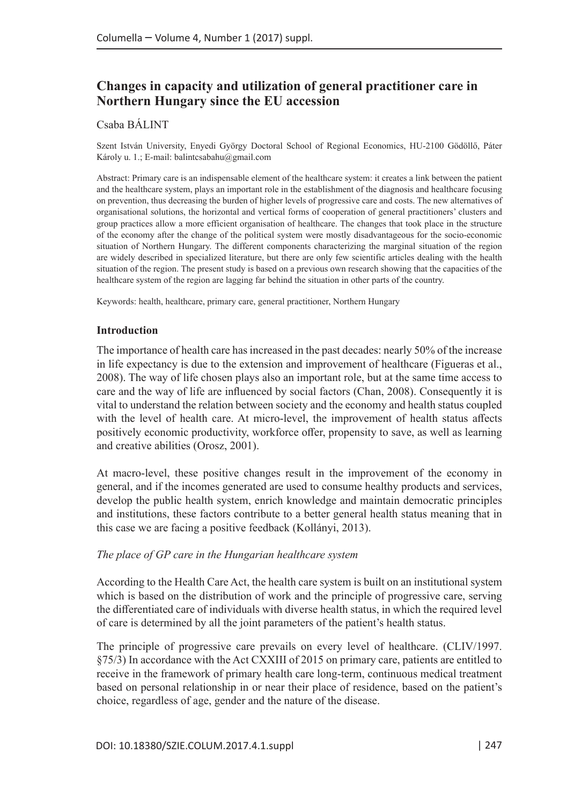# **Changes in capacity and utilization of general practitioner care in Northern Hungary since the EU accession**

#### Csaba BÁLINT

Szent István University, Enyedi György Doctoral School of Regional Economics, HU-2100 Gödöllő, Páter Károly u. 1.; E-mail: balintcsabahu@gmail.com

Abstract: Primary care is an indispensable element of the healthcare system: it creates a link between the patient and the healthcare system, plays an important role in the establishment of the diagnosis and healthcare focusing on prevention, thus decreasing the burden of higher levels of progressive care and costs. The new alternatives of organisational solutions, the horizontal and vertical forms of cooperation of general practitioners' clusters and group practices allow a more efficient organisation of healthcare. The changes that took place in the structure of the economy after the change of the political system were mostly disadvantageous for the socio-economic situation of Northern Hungary. The different components characterizing the marginal situation of the region are widely described in specialized literature, but there are only few scientific articles dealing with the health situation of the region. The present study is based on a previous own research showing that the capacities of the healthcare system of the region are lagging far behind the situation in other parts of the country.

Keywords: health, healthcare, primary care, general practitioner, Northern Hungary

#### **Introduction**

The importance of health care has increased in the past decades: nearly 50% of the increase in life expectancy is due to the extension and improvement of healthcare (Figueras et al., 2008). The way of life chosen plays also an important role, but at the same time access to care and the way of life are influenced by social factors (Chan, 2008). Consequently it is vital to understand the relation between society and the economy and health status coupled with the level of health care. At micro-level, the improvement of health status affects positively economic productivity, workforce offer, propensity to save, as well as learning and creative abilities (Orosz, 2001).

At macro-level, these positive changes result in the improvement of the economy in general, and if the incomes generated are used to consume healthy products and services, develop the public health system, enrich knowledge and maintain democratic principles and institutions, these factors contribute to a better general health status meaning that in this case we are facing a positive feedback (Kollányi, 2013).

#### *The place of GP care in the Hungarian healthcare system*

According to the Health Care Act, the health care system is built on an institutional system which is based on the distribution of work and the principle of progressive care, serving the differentiated care of individuals with diverse health status, in which the required level of care is determined by all the joint parameters of the patient's health status.

The principle of progressive care prevails on every level of healthcare. (CLIV/1997. §75/3) In accordance with the Act CXXIII of 2015 on primary care, patients are entitled to receive in the framework of primary health care long-term, continuous medical treatment based on personal relationship in or near their place of residence, based on the patient's choice, regardless of age, gender and the nature of the disease.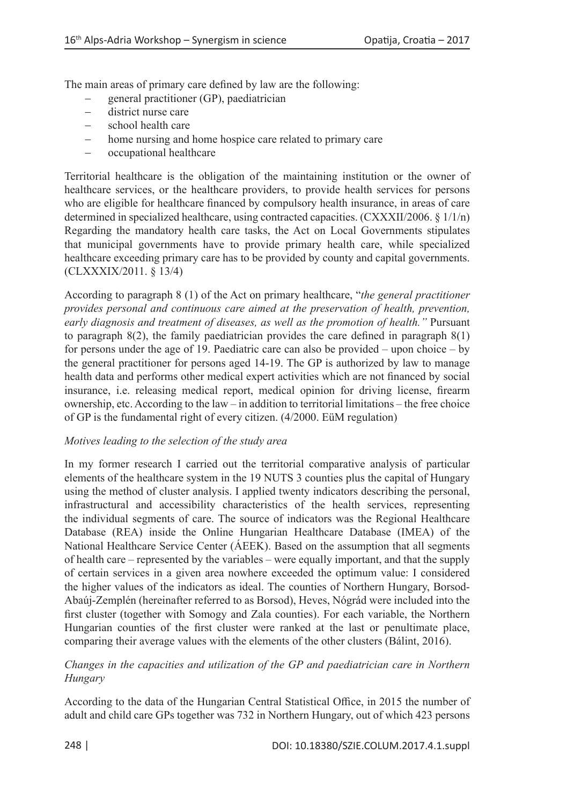The main areas of primary care defined by law are the following:

- general practitioner (GP), paediatrician
- district nurse care
- - school health care
- home nursing and home hospice care related to primary care
- - occupational healthcare

Territorial healthcare is the obligation of the maintaining institution or the owner of healthcare services, or the healthcare providers, to provide health services for persons who are eligible for healthcare financed by compulsory health insurance, in areas of care determined in specialized healthcare, using contracted capacities. (CXXXII/2006. § 1/1/n) Regarding the mandatory health care tasks, the Act on Local Governments stipulates that municipal governments have to provide primary health care, while specialized healthcare exceeding primary care has to be provided by county and capital governments. (CLXXXIX/2011. § 13/4)

According to paragraph 8 (1) of the Act on primary healthcare, "*the general practitioner provides personal and continuous care aimed at the preservation of health, prevention, early diagnosis and treatment of diseases, as well as the promotion of health."* Pursuant to paragraph  $8(2)$ , the family paediatrician provides the care defined in paragraph  $8(1)$ for persons under the age of 19. Paediatric care can also be provided – upon choice – by the general practitioner for persons aged 14-19. The GP is authorized by law to manage health data and performs other medical expert activities which are not financed by social insurance, i.e. releasing medical report, medical opinion for driving license, firearm ownership, etc. According to the law – in addition to territorial limitations – the free choice of GP is the fundamental right of every citizen. (4/2000. EüM regulation)

#### *Motives leading to the selection of the study area*

In my former research I carried out the territorial comparative analysis of particular elements of the healthcare system in the 19 NUTS 3 counties plus the capital of Hungary using the method of cluster analysis. I applied twenty indicators describing the personal, infrastructural and accessibility characteristics of the health services, representing the individual segments of care. The source of indicators was the Regional Healthcare Database (REA) inside the Online Hungarian Healthcare Database (IMEA) of the National Healthcare Service Center (ÁEEK). Based on the assumption that all segments of health care – represented by the variables – were equally important, and that the supply of certain services in a given area nowhere exceeded the optimum value: I considered the higher values of the indicators as ideal. The counties of Northern Hungary, Borsod-Abaúj-Zemplén (hereinafter referred to as Borsod), Heves, Nógrád were included into the first cluster (together with Somogy and Zala counties). For each variable, the Northern Hungarian counties of the first cluster were ranked at the last or penultimate place, comparing their average values with the elements of the other clusters (Bálint, 2016).

## *Changes in the capacities and utilization of the GP and paediatrician care in Northern Hungary*

According to the data of the Hungarian Central Statistical Office, in 2015 the number of adult and child care GPs together was 732 in Northern Hungary, out of which 423 persons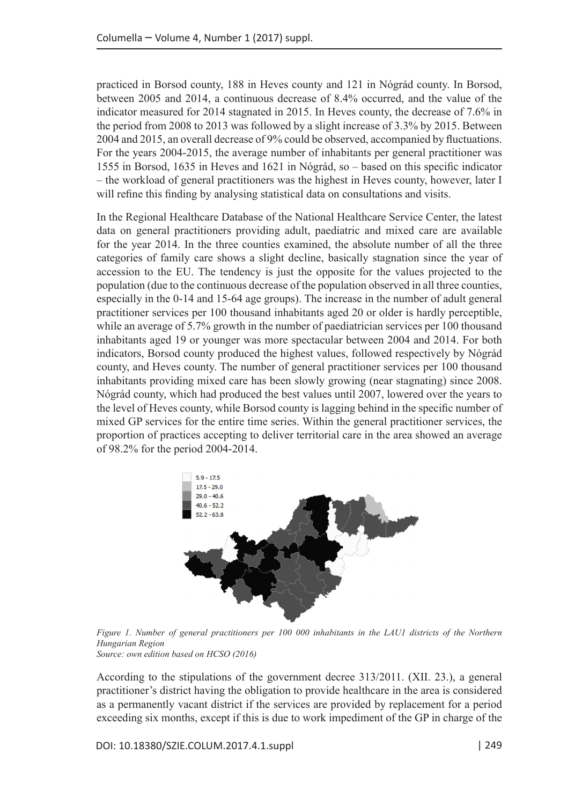practiced in Borsod county, 188 in Heves county and 121 in Nógrád county. In Borsod, between 2005 and 2014, a continuous decrease of 8.4% occurred, and the value of the indicator measured for 2014 stagnated in 2015. In Heves county, the decrease of 7.6% in the period from 2008 to 2013 was followed by a slight increase of 3.3% by 2015. Between 2004 and 2015, an overall decrease of 9% could be observed, accompanied by fluctuations. For the years 2004-2015, the average number of inhabitants per general practitioner was 1555 in Borsod, 1635 in Heves and 1621 in Nógrád, so – based on this specific indicator – the workload of general practitioners was the highest in Heves county, however, later I will refine this finding by analysing statistical data on consultations and visits.

In the Regional Healthcare Database of the National Healthcare Service Center, the latest data on general practitioners providing adult, paediatric and mixed care are available for the year 2014. In the three counties examined, the absolute number of all the three categories of family care shows a slight decline, basically stagnation since the year of accession to the EU. The tendency is just the opposite for the values projected to the population (due to the continuous decrease of the population observed in all three counties, especially in the 0-14 and 15-64 age groups). The increase in the number of adult general practitioner services per 100 thousand inhabitants aged 20 or older is hardly perceptible, while an average of 5.7% growth in the number of paediatrician services per 100 thousand inhabitants aged 19 or younger was more spectacular between 2004 and 2014. For both indicators, Borsod county produced the highest values, followed respectively by Nógrád county, and Heves county. The number of general practitioner services per 100 thousand inhabitants providing mixed care has been slowly growing (near stagnating) since 2008. Nógrád county, which had produced the best values until 2007, lowered over the years to the level of Heves county, while Borsod county is lagging behind in the specific number of mixed GP services for the entire time series. Within the general practitioner services, the proportion of practices accepting to deliver territorial care in the area showed an average of 98.2% for the period 2004-2014.



*Figure 1. Number of general practitioners per 100 000 inhabitants in the LAU1 districts of the Northern Hungarian Region Source: own edition based on HCSO (2016)*

According to the stipulations of the government decree 313/2011. (XII. 23.), a general practitioner's district having the obligation to provide healthcare in the area is considered as a permanently vacant district if the services are provided by replacement for a period exceeding six months, except if this is due to work impediment of the GP in charge of the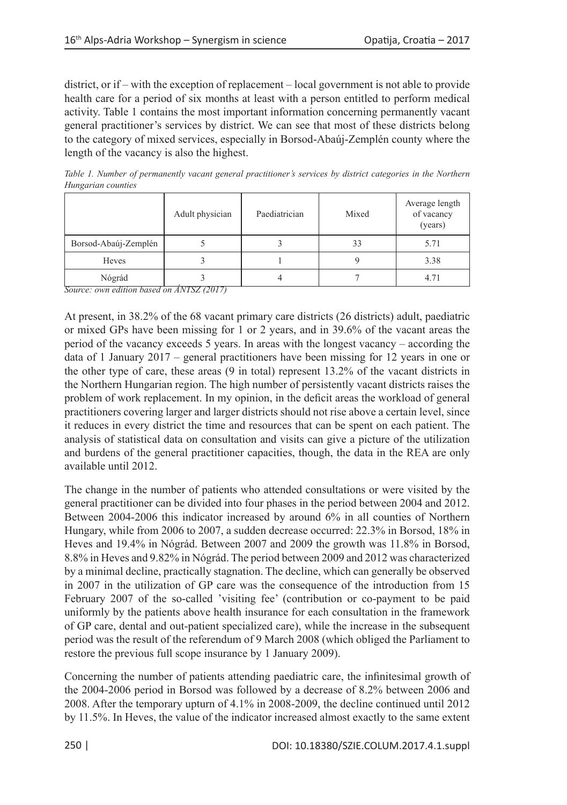district, or if – with the exception of replacement – local government is not able to provide health care for a period of six months at least with a person entitled to perform medical activity. Table 1 contains the most important information concerning permanently vacant general practitioner's services by district. We can see that most of these districts belong to the category of mixed services, especially in Borsod-Abaúj-Zemplén county where the length of the vacancy is also the highest.

*Table 1. Number of permanently vacant general practitioner's services by district categories in the Northern Hungarian counties*

|                      | Adult physician | Paediatrician | Mixed | Average length<br>of vacancy<br>(years) |
|----------------------|-----------------|---------------|-------|-----------------------------------------|
| Borsod-Abaúj-Zemplén |                 |               | 33    | 5.71                                    |
| Heves                |                 |               |       | 3.38                                    |
| Nógrád               | $\sim$          |               |       | 4.71                                    |

*Source: own edition based on ÁNTSZ (2017)*

At present, in 38.2% of the 68 vacant primary care districts (26 districts) adult, paediatric or mixed GPs have been missing for 1 or 2 years, and in 39.6% of the vacant areas the period of the vacancy exceeds 5 years. In areas with the longest vacancy – according the data of 1 January 2017 – general practitioners have been missing for 12 years in one or the other type of care, these areas (9 in total) represent 13.2% of the vacant districts in the Northern Hungarian region. The high number of persistently vacant districts raises the problem of work replacement. In my opinion, in the deficit areas the workload of general practitioners covering larger and larger districts should not rise above a certain level, since it reduces in every district the time and resources that can be spent on each patient. The analysis of statistical data on consultation and visits can give a picture of the utilization and burdens of the general practitioner capacities, though, the data in the REA are only available until 2012.

The change in the number of patients who attended consultations or were visited by the general practitioner can be divided into four phases in the period between 2004 and 2012. Between 2004-2006 this indicator increased by around 6% in all counties of Northern Hungary, while from 2006 to 2007, a sudden decrease occurred: 22.3% in Borsod, 18% in Heves and 19.4% in Nógrád. Between 2007 and 2009 the growth was 11.8% in Borsod, 8.8% in Heves and 9.82% in Nógrád. The period between 2009 and 2012 was characterized by a minimal decline, practically stagnation. The decline, which can generally be observed in 2007 in the utilization of GP care was the consequence of the introduction from 15 February 2007 of the so-called 'visiting fee' (contribution or co-payment to be paid uniformly by the patients above health insurance for each consultation in the framework of GP care, dental and out-patient specialized care), while the increase in the subsequent period was the result of the referendum of 9 March 2008 (which obliged the Parliament to restore the previous full scope insurance by 1 January 2009).

Concerning the number of patients attending paediatric care, the infinitesimal growth of the 2004-2006 period in Borsod was followed by a decrease of 8.2% between 2006 and 2008. After the temporary upturn of 4.1% in 2008-2009, the decline continued until 2012 by 11.5%. In Heves, the value of the indicator increased almost exactly to the same extent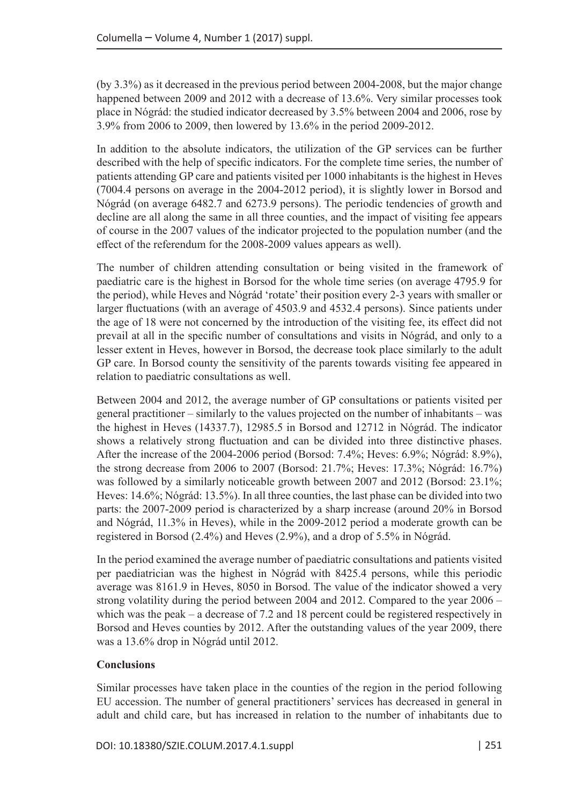(by 3.3%) as it decreased in the previous period between 2004-2008, but the major change happened between 2009 and 2012 with a decrease of 13.6%. Very similar processes took place in Nógrád: the studied indicator decreased by 3.5% between 2004 and 2006, rose by 3.9% from 2006 to 2009, then lowered by 13.6% in the period 2009-2012.

In addition to the absolute indicators, the utilization of the GP services can be further described with the help of specific indicators. For the complete time series, the number of patients attending GP care and patients visited per 1000 inhabitants is the highest in Heves (7004.4 persons on average in the 2004-2012 period), it is slightly lower in Borsod and Nógrád (on average 6482.7 and 6273.9 persons). The periodic tendencies of growth and decline are all along the same in all three counties, and the impact of visiting fee appears of course in the 2007 values of the indicator projected to the population number (and the effect of the referendum for the 2008-2009 values appears as well).

The number of children attending consultation or being visited in the framework of paediatric care is the highest in Borsod for the whole time series (on average 4795.9 for the period), while Heves and Nógrád 'rotate' their position every 2-3 years with smaller or larger fluctuations (with an average of 4503.9 and 4532.4 persons). Since patients under the age of 18 were not concerned by the introduction of the visiting fee, its effect did not prevail at all in the specific number of consultations and visits in Nógrád, and only to a lesser extent in Heves, however in Borsod, the decrease took place similarly to the adult GP care. In Borsod county the sensitivity of the parents towards visiting fee appeared in relation to paediatric consultations as well.

Between 2004 and 2012, the average number of GP consultations or patients visited per general practitioner – similarly to the values projected on the number of inhabitants – was the highest in Heves (14337.7), 12985.5 in Borsod and 12712 in Nógrád. The indicator shows a relatively strong fluctuation and can be divided into three distinctive phases. After the increase of the 2004-2006 period (Borsod: 7.4%; Heves: 6.9%; Nógrád: 8.9%), the strong decrease from 2006 to 2007 (Borsod: 21.7%; Heves: 17.3%; Nógrád: 16.7%) was followed by a similarly noticeable growth between 2007 and 2012 (Borsod: 23.1%; Heves: 14.6%; Nógrád: 13.5%). In all three counties, the last phase can be divided into two parts: the 2007-2009 period is characterized by a sharp increase (around 20% in Borsod and Nógrád, 11.3% in Heves), while in the 2009-2012 period a moderate growth can be registered in Borsod (2.4%) and Heves (2.9%), and a drop of 5.5% in Nógrád.

In the period examined the average number of paediatric consultations and patients visited per paediatrician was the highest in Nógrád with 8425.4 persons, while this periodic average was 8161.9 in Heves, 8050 in Borsod. The value of the indicator showed a very strong volatility during the period between 2004 and 2012. Compared to the year 2006 – which was the peak – a decrease of 7.2 and 18 percent could be registered respectively in Borsod and Heves counties by 2012. After the outstanding values of the year 2009, there was a 13.6% drop in Nógrád until 2012.

## **Conclusions**

Similar processes have taken place in the counties of the region in the period following EU accession. The number of general practitioners' services has decreased in general in adult and child care, but has increased in relation to the number of inhabitants due to